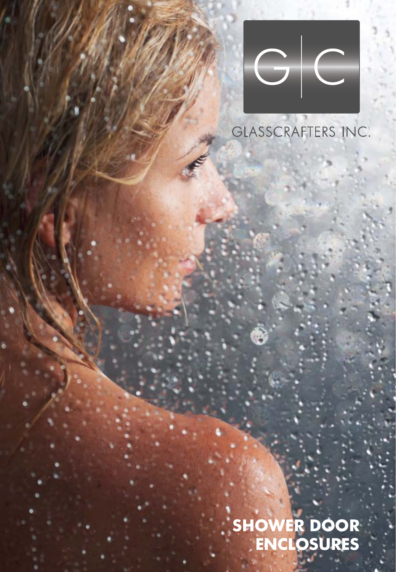

#### GLASSCRAFTERS INC.

**SHOWER DOOR ENCLOSURES**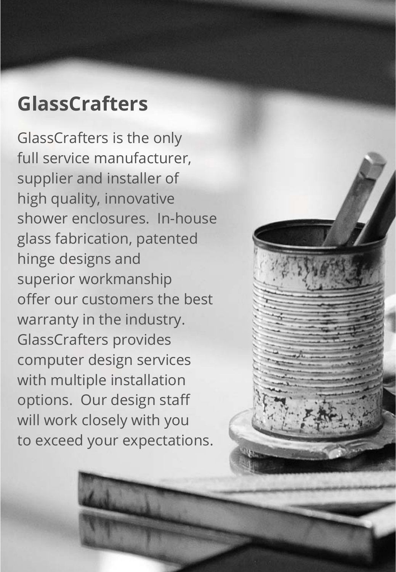#### **GlassCrafters**

GlassCrafters is the only full service manufacturer, supplier and installer of high quality, innovative shower enclosures. In-house glass fabrication, patented hinge designs and superior workmanship offer our customers the best warranty in the industry. GlassCrafters provides computer design services with multiple installation options. Our design staff will work closely with you to exceed your expectations.

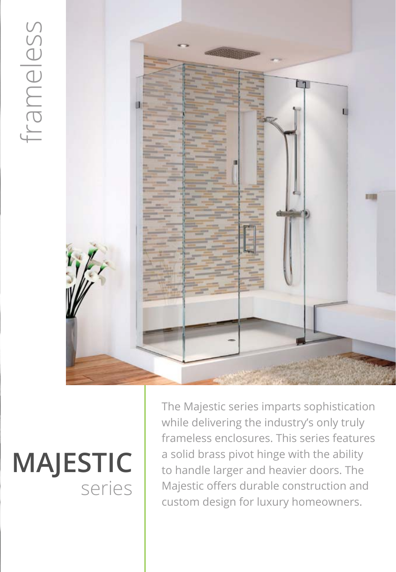

## **MAJESTIC** series

The Majestic series imparts sophistication while delivering the industry's only truly frameless enclosures. This series features a solid brass pivot hinge with the ability to handle larger and heavier doors. The Majestic offers durable construction and custom design for luxury homeowners.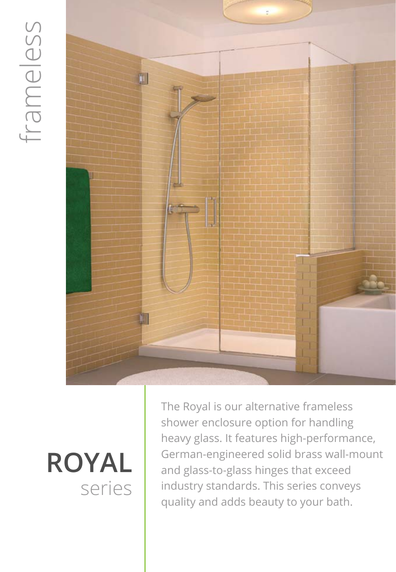## frameless frameless



## series **ROYAL**

The Royal is our alternative frameless shower enclosure option for handling heavy glass. It features high-performance, German-engineered solid brass wall-mount and glass-to-glass hinges that exceed industry standards. This series conveys quality and adds beauty to your bath.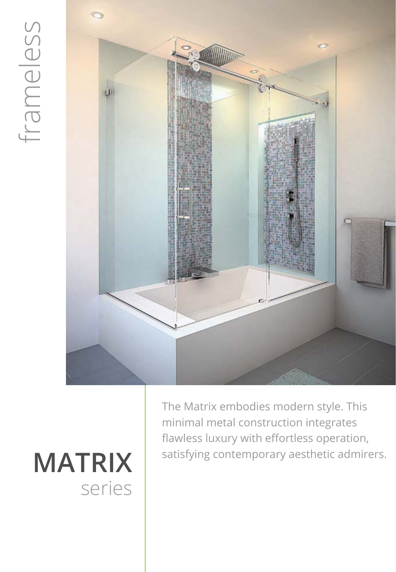## frameless



## **MATRIX** series

The Matrix embodies modern style. This minimal metal construction integrates flawless luxury with effortless operation, satisfying contemporary aesthetic admirers.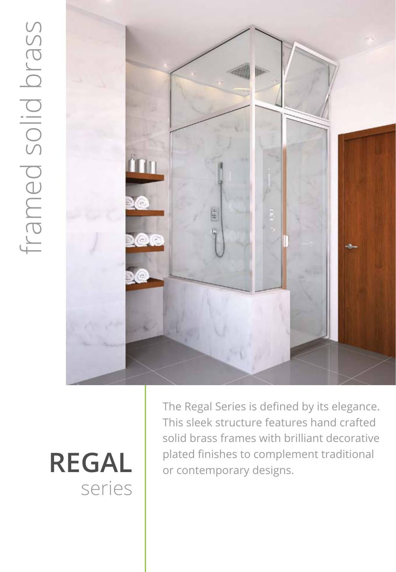

## series

The Regal Series is defined by its elegance. This sleek structure features hand crafted solid brass frames with brilliant decorative REGAL **Plated finishes to complement traditional** or contemporary designs.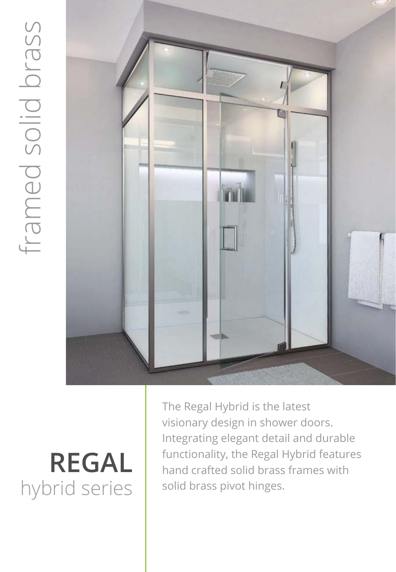

## **REGAL**

The Regal Hybrid is the latest visionary design in shower doors. Integrating elegant detail and durable functionality, the Regal Hybrid features hand crafted solid brass frames with solid brass pivot hinges.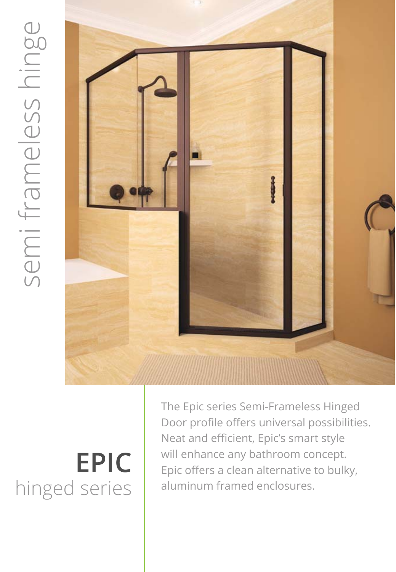

### **EPIC** hinged series

The Epic series Semi-Frameless Hinged Door profile offers universal possibilities. Neat and efficient, Epic's smart style will enhance any bathroom concept. Epic offers a clean alternative to bulky, aluminum framed enclosures.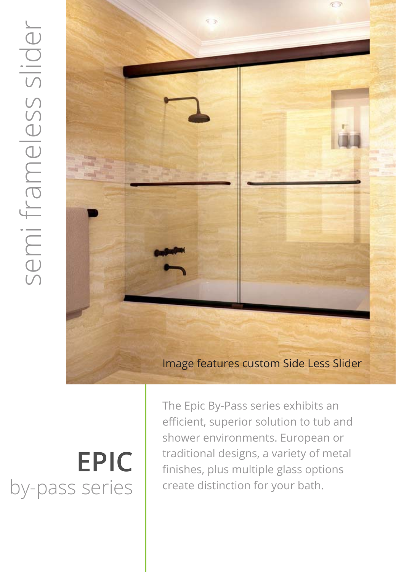

#### Image features custom Side Less Slider

## **EPIC**

The Epic By-Pass series exhibits an efficient, superior solution to tub and shower environments. European or traditional designs, a variety of metal finishes, plus multiple glass options create distinction for your bath.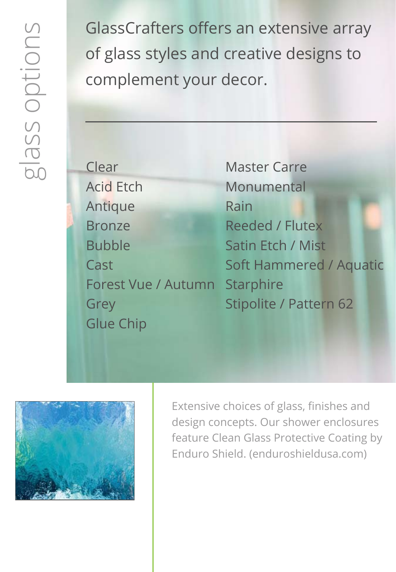GlassCrafters offers an extensive array of glass styles and creative designs to complement your decor.

| Clear               |
|---------------------|
| <b>Acid Etch</b>    |
| Antique             |
| <b>Bronze</b>       |
| <b>Bubble</b>       |
| Cast                |
| Forest Vue / Autumn |
| Grey                |
| <b>Glue Chip</b>    |

Master Carre Monumental Rain Reeded / Flutex Satin Etch / Mist Soft Hammered / Aquatic **Starphire** Stipolite / Pattern 62



Extensive choices of glass, finishes and design concepts. Our shower enclosures feature Clean Glass Protective Coating by Enduro Shield. (enduroshieldusa.com)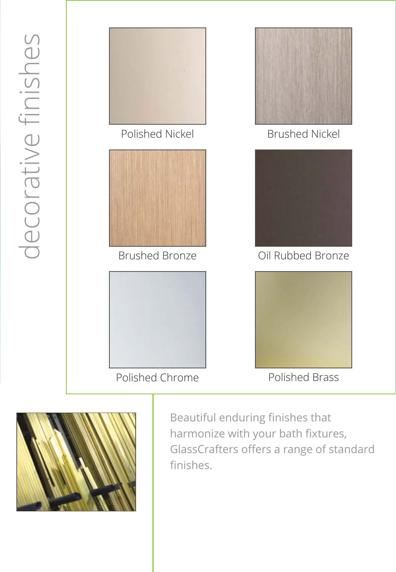

Polished Chrome

Polished Brass



Beautiful enduring finishes that harmonize with your bath fixtures, GlassCrafters offers a range of standard finishes.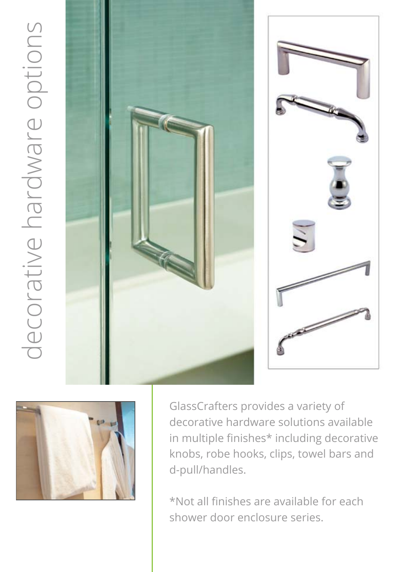





GlassCrafters provides a variety of decorative hardware solutions available in multiple finishes\* including decorative knobs, robe hooks, clips, towel bars and d-pull/handles.

\*Not all finishes are available for each shower door enclosure series.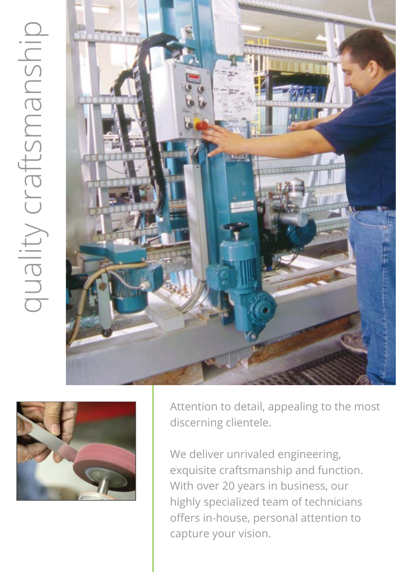# quality craftsmanship quality craftsmanship





Attention to detail, appealing to the most discerning clientele.

We deliver unrivaled engineering, exquisite craftsmanship and function. With over 20 years in business, our highly specialized team of technicians offers in-house, personal attention to capture your vision.